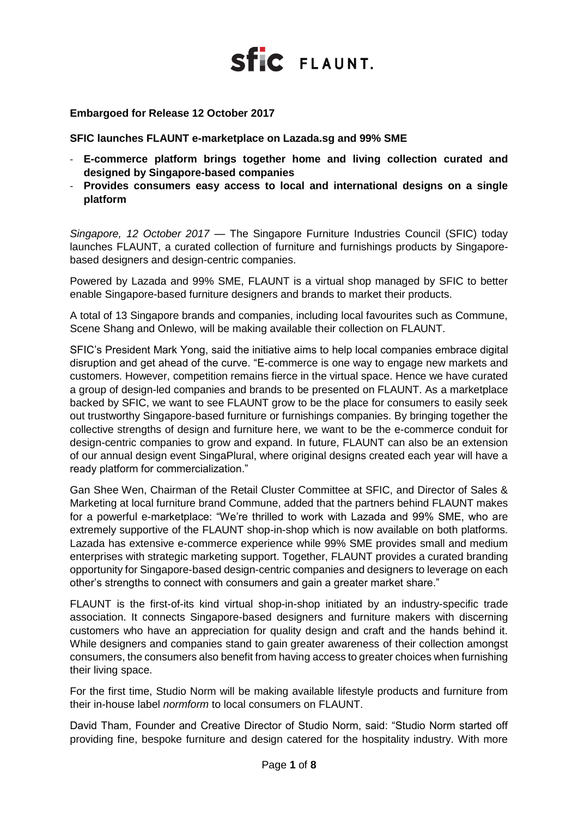

### **Embargoed for Release 12 October 2017**

**SFIC launches FLAUNT e-marketplace on Lazada.sg and 99% SME**

- **E-commerce platform brings together home and living collection curated and designed by Singapore-based companies**
- **Provides consumers easy access to local and international designs on a single platform**

*Singapore, 12 October 2017* — The Singapore Furniture Industries Council (SFIC) today launches FLAUNT, a curated collection of furniture and furnishings products by Singaporebased designers and design-centric companies.

Powered by Lazada and 99% SME, FLAUNT is a virtual shop managed by SFIC to better enable Singapore-based furniture designers and brands to market their products.

A total of 13 Singapore brands and companies, including local favourites such as Commune, Scene Shang and Onlewo, will be making available their collection on FLAUNT.

SFIC's President Mark Yong, said the initiative aims to help local companies embrace digital disruption and get ahead of the curve. "E-commerce is one way to engage new markets and customers. However, competition remains fierce in the virtual space. Hence we have curated a group of design-led companies and brands to be presented on FLAUNT. As a marketplace backed by SFIC, we want to see FLAUNT grow to be the place for consumers to easily seek out trustworthy Singapore-based furniture or furnishings companies. By bringing together the collective strengths of design and furniture here, we want to be the e-commerce conduit for design-centric companies to grow and expand. In future, FLAUNT can also be an extension of our annual design event SingaPlural, where original designs created each year will have a ready platform for commercialization."

Gan Shee Wen, Chairman of the Retail Cluster Committee at SFIC, and Director of Sales & Marketing at local furniture brand Commune, added that the partners behind FLAUNT makes for a powerful e-marketplace: "We're thrilled to work with Lazada and 99% SME, who are extremely supportive of the FLAUNT shop-in-shop which is now available on both platforms. Lazada has extensive e-commerce experience while 99% SME provides small and medium enterprises with strategic marketing support. Together, FLAUNT provides a curated branding opportunity for Singapore-based design-centric companies and designers to leverage on each other's strengths to connect with consumers and gain a greater market share."

FLAUNT is the first-of-its kind virtual shop-in-shop initiated by an industry-specific trade association. It connects Singapore-based designers and furniture makers with discerning customers who have an appreciation for quality design and craft and the hands behind it. While designers and companies stand to gain greater awareness of their collection amongst consumers, the consumers also benefit from having access to greater choices when furnishing their living space.

For the first time, Studio Norm will be making available lifestyle products and furniture from their in-house label *normform* to local consumers on FLAUNT.

David Tham, Founder and Creative Director of Studio Norm, said: "Studio Norm started off providing fine, bespoke furniture and design catered for the hospitality industry. With more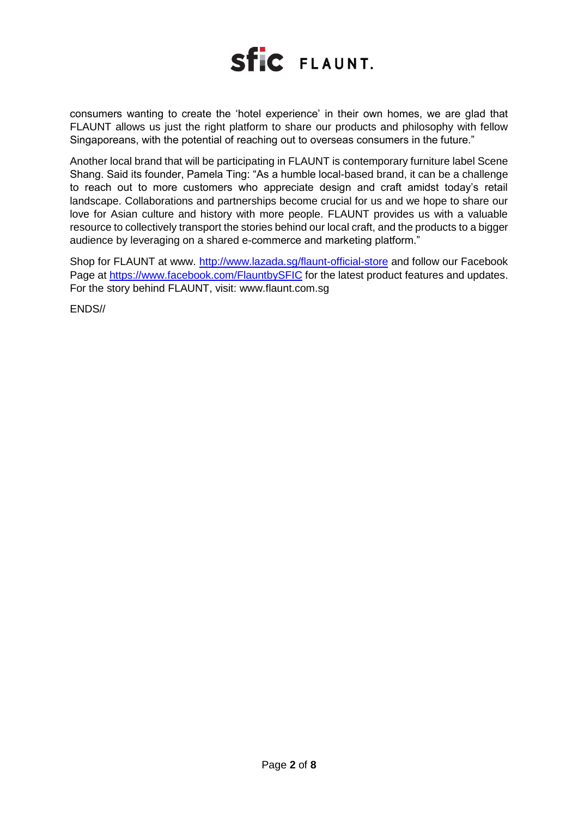

consumers wanting to create the 'hotel experience' in their own homes, we are glad that FLAUNT allows us just the right platform to share our products and philosophy with fellow Singaporeans, with the potential of reaching out to overseas consumers in the future."

Another local brand that will be participating in FLAUNT is contemporary furniture label Scene Shang. Said its founder, Pamela Ting: "As a humble local-based brand, it can be a challenge to reach out to more customers who appreciate design and craft amidst today's retail landscape. Collaborations and partnerships become crucial for us and we hope to share our love for Asian culture and history with more people. FLAUNT provides us with a valuable resource to collectively transport the stories behind our local craft, and the products to a bigger audience by leveraging on a shared e-commerce and marketing platform."

Shop for FLAUNT at www. <http://www.lazada.sg/flaunt-official-store> and follow our Facebook Page at<https://www.facebook.com/FlauntbySFIC> for the latest product features and updates. For the story behind FLAUNT, visit: www.flaunt.com.sg

ENDS//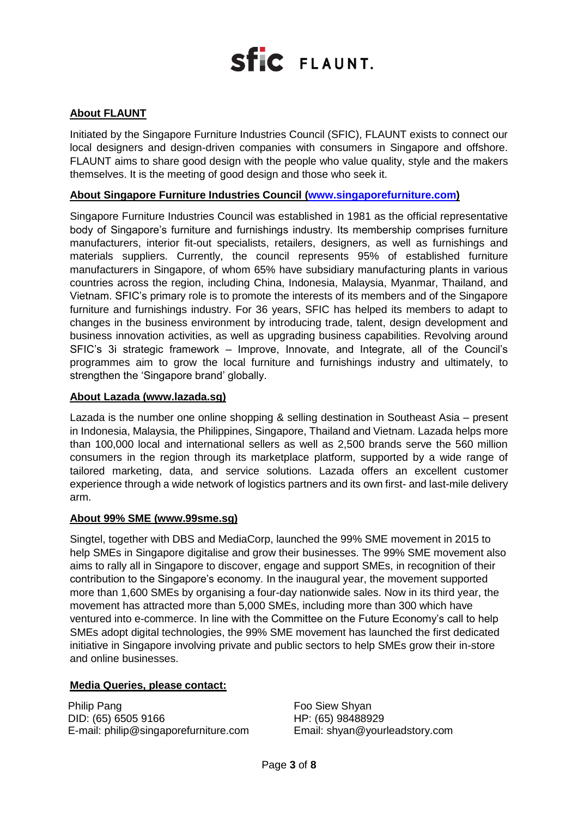### **About FLAUNT**

Initiated by the Singapore Furniture Industries Council (SFIC), FLAUNT exists to connect our local designers and design-driven companies with consumers in Singapore and offshore. FLAUNT aims to share good design with the people who value quality, style and the makers themselves. It is the meeting of good design and those who seek it.

### **About Singapore Furniture Industries Council [\(www.singaporefurniture.com\)](http://www.singaporefurniture.com/)**

Singapore Furniture Industries Council was established in 1981 as the official representative body of Singapore's furniture and furnishings industry. Its membership comprises furniture manufacturers, interior fit-out specialists, retailers, designers, as well as furnishings and materials suppliers. Currently, the council represents 95% of established furniture manufacturers in Singapore, of whom 65% have subsidiary manufacturing plants in various countries across the region, including China, Indonesia, Malaysia, Myanmar, Thailand, and Vietnam. SFIC's primary role is to promote the interests of its members and of the Singapore furniture and furnishings industry. For 36 years, SFIC has helped its members to adapt to changes in the business environment by introducing trade, talent, design development and business innovation activities, as well as upgrading business capabilities. Revolving around SFIC's 3i strategic framework – Improve, Innovate, and Integrate, all of the Council's programmes aim to grow the local furniture and furnishings industry and ultimately, to strengthen the 'Singapore brand' globally.

### **About Lazada (www.lazada.sg)**

Lazada is the number one online shopping & selling destination in Southeast Asia – present in Indonesia, Malaysia, the Philippines, Singapore, Thailand and Vietnam. Lazada helps more than 100,000 local and international sellers as well as 2,500 brands serve the 560 million consumers in the region through its marketplace platform, supported by a wide range of tailored marketing, data, and service solutions. Lazada offers an excellent customer experience through a wide network of logistics partners and its own first- and last-mile delivery arm.

#### **About 99% SME (www.99sme.sg)**

Singtel, together with DBS and MediaCorp, launched the 99% SME movement in 2015 to help SMEs in Singapore digitalise and grow their businesses. The 99% SME movement also aims to rally all in Singapore to discover, engage and support SMEs, in recognition of their contribution to the Singapore's economy. In the inaugural year, the movement supported more than 1,600 SMEs by organising a four-day nationwide sales. Now in its third year, the movement has attracted more than 5,000 SMEs, including more than 300 which have ventured into e-commerce. In line with the Committee on the Future Economy's call to help SMEs adopt digital technologies, the 99% SME movement has launched the first dedicated initiative in Singapore involving private and public sectors to help SMEs grow their in-store and online businesses.

#### **Media Queries, please contact:**

Philip Pang DID: (65) 6505 9166 E-mail: philip@singaporefurniture.com Foo Siew Shyan HP: (65) 98488929 Email: shyan@yourleadstory.com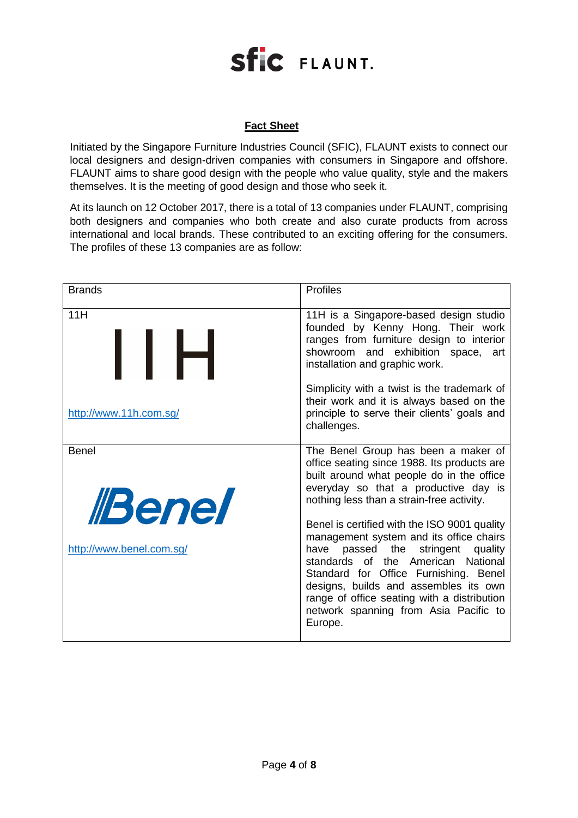### **Fact Sheet**

Initiated by the Singapore Furniture Industries Council (SFIC), FLAUNT exists to connect our local designers and design-driven companies with consumers in Singapore and offshore. FLAUNT aims to share good design with the people who value quality, style and the makers themselves. It is the meeting of good design and those who seek it.

At its launch on 12 October 2017, there is a total of 13 companies under FLAUNT, comprising both designers and companies who both create and also curate products from across international and local brands. These contributed to an exciting offering for the consumers. The profiles of these 13 companies are as follow:

| <b>Brands</b>                                                   | <b>Profiles</b>                                                                                                                                                                                                                                                                                                                                                                                                                                                                                                                                                                       |
|-----------------------------------------------------------------|---------------------------------------------------------------------------------------------------------------------------------------------------------------------------------------------------------------------------------------------------------------------------------------------------------------------------------------------------------------------------------------------------------------------------------------------------------------------------------------------------------------------------------------------------------------------------------------|
| 11H<br>I I H                                                    | 11H is a Singapore-based design studio<br>founded by Kenny Hong. Their work<br>ranges from furniture design to interior<br>showroom and exhibition space,<br>art<br>installation and graphic work.                                                                                                                                                                                                                                                                                                                                                                                    |
| http://www.11h.com.sg/                                          | Simplicity with a twist is the trademark of<br>their work and it is always based on the<br>principle to serve their clients' goals and<br>challenges.                                                                                                                                                                                                                                                                                                                                                                                                                                 |
| <b>Benel</b><br><i><b>Benel</b></i><br>http://www.benel.com.sg/ | The Benel Group has been a maker of<br>office seating since 1988. Its products are<br>built around what people do in the office<br>everyday so that a productive day is<br>nothing less than a strain-free activity.<br>Benel is certified with the ISO 9001 quality<br>management system and its office chairs<br>passed the stringent<br>quality<br>have<br>standards of the American National<br>Standard for Office Furnishing. Benel<br>designs, builds and assembles its own<br>range of office seating with a distribution<br>network spanning from Asia Pacific to<br>Europe. |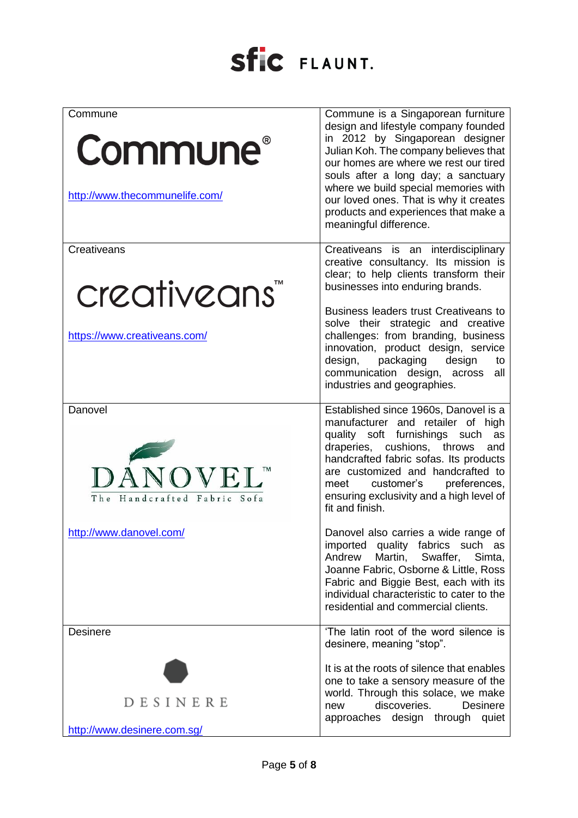| Commune<br><b>Commune</b> ®<br>http://www.thecommunelife.com/           | Commune is a Singaporean furniture<br>design and lifestyle company founded<br>in 2012 by Singaporean designer<br>Julian Koh. The company believes that<br>our homes are where we rest our tired<br>souls after a long day; a sanctuary<br>where we build special memories with<br>our loved ones. That is why it creates<br>products and experiences that make a<br>meaningful difference.      |
|-------------------------------------------------------------------------|-------------------------------------------------------------------------------------------------------------------------------------------------------------------------------------------------------------------------------------------------------------------------------------------------------------------------------------------------------------------------------------------------|
| Creativeans<br>creativeans <sup>"</sup><br>https://www.creativeans.com/ | Creativeans is an interdisciplinary<br>creative consultancy. Its mission is<br>clear; to help clients transform their<br>businesses into enduring brands.<br>Business leaders trust Creativeans to<br>solve their strategic and creative<br>challenges: from branding, business<br>innovation, product design, service<br>design, packaging design<br>to<br>communication design, across<br>all |
| Danovel<br>DÁNOVEL <sup>™</sup><br>The Handcrafted Fabric Sofa          | industries and geographies.<br>Established since 1960s, Danovel is a<br>manufacturer and retailer of high<br>quality soft furnishings such<br>as<br>draperies, cushions, throws<br>and<br>handcrafted fabric sofas. Its products<br>are customized and handcrafted to<br>customer's preferences,<br>meet<br>ensuring exclusivity and a high level of<br>fit and finish.                         |
| http://www.danovel.com/                                                 | Danovel also carries a wide range of<br>imported quality fabrics such as<br>Andrew<br>Martin,<br>Swaffer,<br>Simta,<br>Joanne Fabric, Osborne & Little, Ross<br>Fabric and Biggie Best, each with its<br>individual characteristic to cater to the<br>residential and commercial clients.                                                                                                       |
| <b>Desinere</b>                                                         | 'The latin root of the word silence is<br>desinere, meaning "stop".                                                                                                                                                                                                                                                                                                                             |
| DESINERE<br>http://www.desinere.com.sg/                                 | It is at the roots of silence that enables<br>one to take a sensory measure of the<br>world. Through this solace, we make<br>discoveries.<br><b>Desinere</b><br>new<br>approaches design through<br>quiet                                                                                                                                                                                       |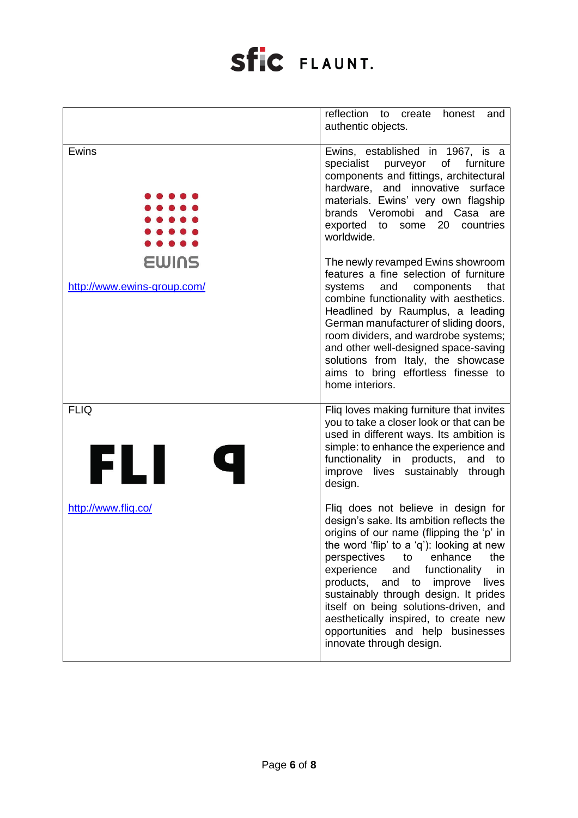|                                      | reflection to<br>create<br>honest<br>and<br>authentic objects.                                                                                                                                                                                                                                                                                                                                                                                                                             |
|--------------------------------------|--------------------------------------------------------------------------------------------------------------------------------------------------------------------------------------------------------------------------------------------------------------------------------------------------------------------------------------------------------------------------------------------------------------------------------------------------------------------------------------------|
| Ewins                                | Ewins, established in 1967, is a<br>specialist purveyor of furniture<br>components and fittings, architectural<br>hardware, and innovative surface<br>materials. Ewins' very own flagship<br>brands Veromobi and Casa are<br>exported to some 20<br>countries<br>worldwide.                                                                                                                                                                                                                |
| EWINS<br>http://www.ewins-group.com/ | The newly revamped Ewins showroom<br>features a fine selection of furniture<br>that<br>systems<br>and components<br>combine functionality with aesthetics.<br>Headlined by Raumplus, a leading<br>German manufacturer of sliding doors,<br>room dividers, and wardrobe systems;<br>and other well-designed space-saving<br>solutions from Italy, the showcase<br>aims to bring effortless finesse to<br>home interiors.                                                                    |
| <b>FLIQ</b><br>FLI                   | Fliq loves making furniture that invites<br>you to take a closer look or that can be<br>used in different ways. Its ambition is<br>simple: to enhance the experience and<br>functionality in products, and to<br>improve lives sustainably through<br>design.                                                                                                                                                                                                                              |
| http://www.fliq.co/                  | Fliq does not believe in design for<br>design's sake. Its ambition reflects the<br>origins of our name (flipping the 'p' in<br>the word 'flip' to a 'q'): looking at new<br>perspectives<br>to enhance<br>the<br>and<br>experience<br>functionality<br>in<br>products, and to improve<br>lives<br>sustainably through design. It prides<br>itself on being solutions-driven, and<br>aesthetically inspired, to create new<br>opportunities and help businesses<br>innovate through design. |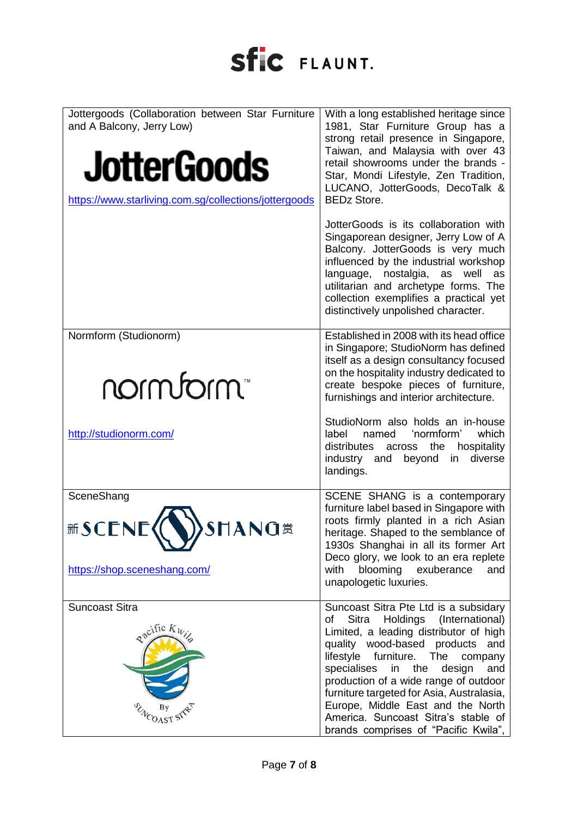| Jottergoods (Collaboration between Star Furniture<br>and A Balcony, Jerry Low)<br><b>JotterGoods</b><br>https://www.starliving.com.sg/collections/jottergoods | With a long established heritage since<br>1981, Star Furniture Group has a<br>strong retail presence in Singapore,<br>Taiwan, and Malaysia with over 43<br>retail showrooms under the brands -<br>Star, Mondi Lifestyle, Zen Tradition,<br>LUCANO, JotterGoods, DecoTalk &<br><b>BEDz Store.</b>                                                                                                                                                            |
|---------------------------------------------------------------------------------------------------------------------------------------------------------------|-------------------------------------------------------------------------------------------------------------------------------------------------------------------------------------------------------------------------------------------------------------------------------------------------------------------------------------------------------------------------------------------------------------------------------------------------------------|
|                                                                                                                                                               | JotterGoods is its collaboration with<br>Singaporean designer, Jerry Low of A<br>Balcony. JotterGoods is very much<br>influenced by the industrial workshop<br>language,<br>nostalgia, as<br>well<br>as<br>utilitarian and archetype forms. The<br>collection exemplifies a practical yet<br>distinctively unpolished character.                                                                                                                            |
| Normform (Studionorm)<br>motunous                                                                                                                             | Established in 2008 with its head office<br>in Singapore; StudioNorm has defined<br>itself as a design consultancy focused<br>on the hospitality industry dedicated to<br>create bespoke pieces of furniture,<br>furnishings and interior architecture.                                                                                                                                                                                                     |
| http://studionorm.com/                                                                                                                                        | StudioNorm also holds an in-house<br>'normform'<br>which<br>label<br>named<br>distributes<br>hospitality<br>across<br>the<br>diverse<br>beyond<br>in<br>industry and<br>landings.                                                                                                                                                                                                                                                                           |
| SceneShang<br>新SCENE(V)SHANG<br>https://shop.sceneshang.com/                                                                                                  | SCENE SHANG is a contemporary<br>furniture label based in Singapore with<br>roots firmly planted in a rich Asian<br>heritage. Shaped to the semblance of<br>1930s Shanghai in all its former Art<br>Deco glory, we look to an era replete<br>with<br>blooming exuberance<br>and<br>unapologetic luxuries.                                                                                                                                                   |
| <b>Suncoast Sitra</b><br>Racific Kwile                                                                                                                        | Suncoast Sitra Pte Ltd is a subsidary<br>Holdings<br>(International)<br>Sitra<br>of<br>Limited, a leading distributor of high<br>quality wood-based products and<br>lifestyle furniture. The<br>company<br>in the<br>specialises<br>design<br>and<br>production of a wide range of outdoor<br>furniture targeted for Asia, Australasia,<br>Europe, Middle East and the North<br>America. Suncoast Sitra's stable of<br>brands comprises of "Pacific Kwila", |